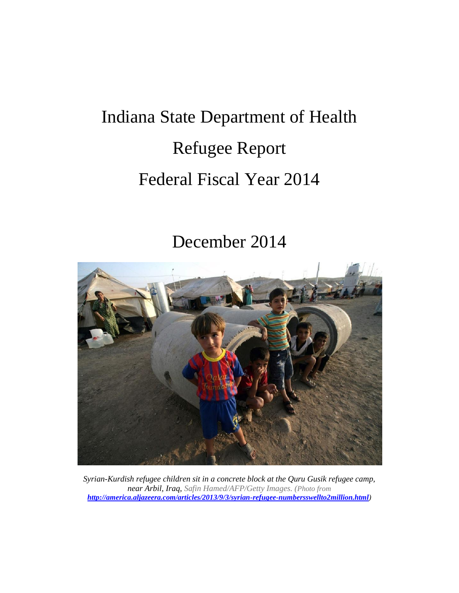# Indiana State Department of Health Refugee Report Federal Fiscal Year 2014

December 2014



*Syrian-Kurdish refugee children sit in a concrete block at the Quru Gusik refugee camp, near Arbil, Iraq, Safin Hamed/AFP/Getty Images. (Photo from <http://america.aljazeera.com/articles/2013/9/3/syrian-refugee-numbersswellto2million.html>)*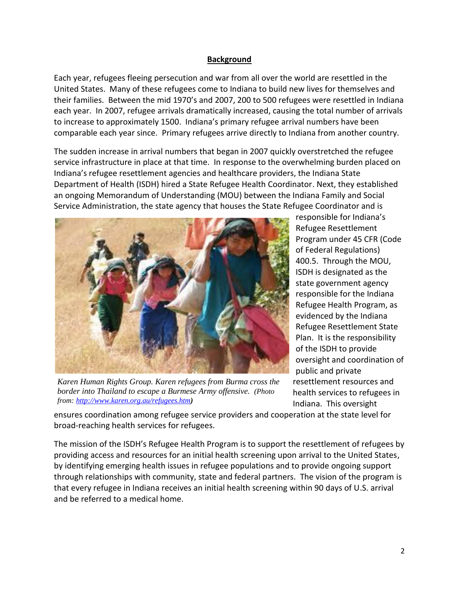# **Background**

Each year, refugees fleeing persecution and war from all over the world are resettled in the United States. Many of these refugees come to Indiana to build new lives for themselves and their families. Between the mid 1970's and 2007, 200 to 500 refugees were resettled in Indiana each year. In 2007, refugee arrivals dramatically increased, causing the total number of arrivals to increase to approximately 1500. Indiana's primary refugee arrival numbers have been comparable each year since. Primary refugees arrive directly to Indiana from another country.

The sudden increase in arrival numbers that began in 2007 quickly overstretched the refugee service infrastructure in place at that time. In response to the overwhelming burden placed on Indiana's refugee resettlement agencies and healthcare providers, the Indiana State Department of Health (ISDH) hired a State Refugee Health Coordinator. Next, they established an ongoing Memorandum of Understanding (MOU) between the Indiana Family and Social Service Administration, the state agency that houses the State Refugee Coordinator and is



*Karen Human Rights Group. Karen refugees from Burma cross the border into Thailand to escape a Burmese Army offensive. (Photo from: <http://www.karen.org.au/refugees.htm>)*

responsible for Indiana's Refugee Resettlement Program under 45 CFR (Code of Federal Regulations) 400.5. Through the MOU, ISDH is designated as the state government agency responsible for the Indiana Refugee Health Program, as evidenced by the Indiana Refugee Resettlement State Plan. It is the responsibility of the ISDH to provide oversight and coordination of public and private resettlement resources and health services to refugees in Indiana. This oversight

ensures coordination among refugee service providers and cooperation at the state level for broad-reaching health services for refugees.

The mission of the ISDH's Refugee Health Program is to support the resettlement of refugees by providing access and resources for an initial health screening upon arrival to the United States, by identifying emerging health issues in refugee populations and to provide ongoing support through relationships with community, state and federal partners. The vision of the program is that every refugee in Indiana receives an initial health screening within 90 days of U.S. arrival and be referred to a medical home.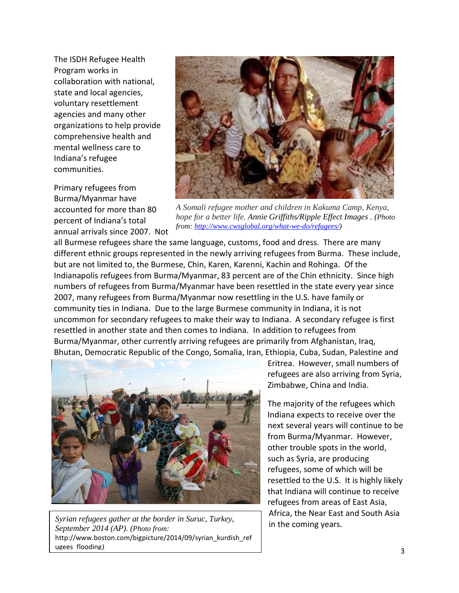The ISDH Refugee Health Program works in collaboration with national, state and local agencies, voluntary resettlement agencies and many other organizations to help provide comprehensive health and mental wellness care to Indiana's refugee communities.

Primary refugees from Burma/Myanmar have accounted for more than 80 percent of Indiana's total annual arrivals since 2007. Not



*A Somali refugee mother and children in Kakuma Camp, Kenya, hope for a better life. Annie Griffiths/Ripple Effect Images . (Photo from: [http://www.cwsglobal.org/what-we-do/refugees/\)](http://www.cwsglobal.org/what-we-do/refugees/)*

all Burmese refugees share the same language, customs, food and dress. There are many different ethnic groups represented in the newly arriving refugees from Burma. These include, but are not limited to, the Burmese, Chin, Karen, Karenni, Kachin and Rohinga. Of the Indianapolis refugees from Burma/Myanmar, 83 percent are of the Chin ethnicity. Since high numbers of refugees from Burma/Myanmar have been resettled in the state every year since 2007, many refugees from Burma/Myanmar now resettling in the U.S. have family or community ties in Indiana. Due to the large Burmese community in Indiana, it is not uncommon for secondary refugees to make their way to Indiana. A secondary refugee is first resettled in another state and then comes to Indiana. In addition to refugees from Burma/Myanmar, other currently arriving refugees are primarily from Afghanistan, Iraq, Bhutan, Democratic Republic of the Congo, Somalia, Iran, Ethiopia, Cuba, Sudan, Palestine and



*Syrian refugees gather at the border in Suruc, Turkey, September 2014 (AP). (Photo from:*  http://www.boston.com/bigpicture/2014/09/syrian\_kurdish\_ref ugees\_flooding*)*

Eritrea. However, small numbers of refugees are also arriving from Syria, Zimbabwe, China and India.

The majority of the refugees which Indiana expects to receive over the next several years will continue to be from Burma/Myanmar. However, other trouble spots in the world, such as Syria, are producing refugees, some of which will be resettled to the U.S. It is highly likely that Indiana will continue to receive refugees from areas of East Asia, Africa, the Near East and South Asia in the coming years.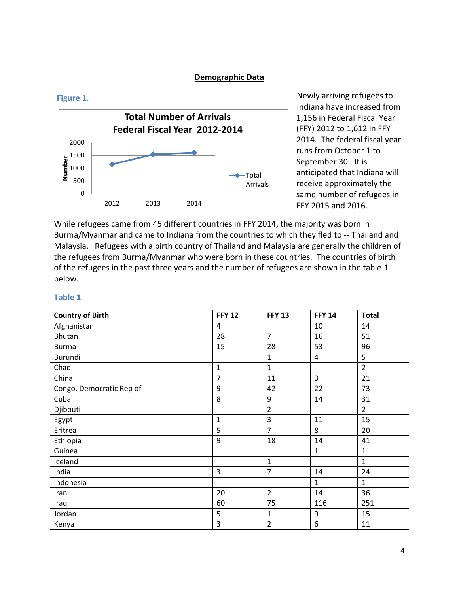#### **Demographic Data**



Newly arriving refugees to Indiana have increased from 1,156 in Federal Fiscal Year (FFY) 2012 to 1,612 in FFY 2014. The federal fiscal year runs from October 1 to September 30. It is anticipated that Indiana will receive approximately the same number of refugees in FFY 2015 and 2016.

While refugees came from 45 different countries in FFY 2014, the majority was born in Burma/Myanmar and came to Indiana from the countries to which they fled to -- Thailand and Malaysia. Refugees with a birth country of Thailand and Malaysia are generally the children of the refugees from Burma/Myanmar who were born in these countries. The countries of birth of the refugees in the past three years and the number of refugees are shown in the table 1 below.

#### **Table 1**

| <b>Country of Birth</b>  | <b>FFY 12</b> | <b>FFY 13</b>  | <b>FFY 14</b> | <b>Total</b>   |
|--------------------------|---------------|----------------|---------------|----------------|
| Afghanistan              | 4             |                | 10            | 14             |
| <b>Bhutan</b>            | 28            | $\overline{7}$ | 16            | 51             |
| <b>Burma</b>             | 15            | 28             | 53            | 96             |
| Burundi                  |               | $\mathbf{1}$   | 4             | 5              |
| Chad                     | $\mathbf{1}$  | $\mathbf{1}$   |               | $\overline{2}$ |
| China                    | 7             | 11             | 3             | 21             |
| Congo, Democratic Rep of | 9             | 42             | 22            | 73             |
| Cuba                     | 8             | 9              | 14            | 31             |
| Djibouti                 |               | $\overline{2}$ |               | $\overline{2}$ |
| Egypt                    | $\mathbf{1}$  | 3              | 11            | 15             |
| Eritrea                  | 5             | $\overline{7}$ | 8             | 20             |
| Ethiopia                 | 9             | 18             | 14            | 41             |
| Guinea                   |               |                | $\mathbf{1}$  | $\mathbf{1}$   |
| Iceland                  |               | $\mathbf{1}$   |               | $\mathbf{1}$   |
| India                    | 3             | $\overline{7}$ | 14            | 24             |
| Indonesia                |               |                | $\mathbf{1}$  | $\mathbf{1}$   |
| Iran                     | 20            | $\overline{2}$ | 14            | 36             |
| Iraq                     | 60            | 75             | 116           | 251            |
| Jordan                   | 5             | $\mathbf{1}$   | 9             | 15             |
| Kenya                    | 3             | $\overline{2}$ | 6             | 11             |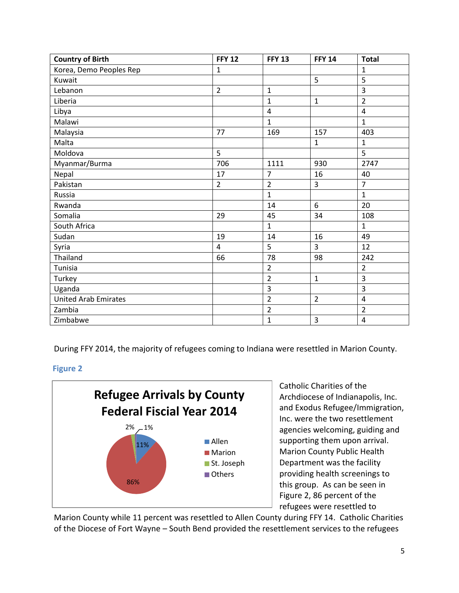| <b>Country of Birth</b>     | <b>FFY 12</b>  | <b>FFY 13</b>  | <b>FFY 14</b>  | <b>Total</b>            |
|-----------------------------|----------------|----------------|----------------|-------------------------|
| Korea, Demo Peoples Rep     | $\mathbf{1}$   |                |                | 1                       |
| Kuwait                      |                |                | 5              | 5                       |
| Lebanon                     | $\overline{2}$ | $\mathbf{1}$   |                | 3                       |
| Liberia                     |                | $\mathbf 1$    | $\mathbf{1}$   | $\overline{2}$          |
| Libya                       |                | $\overline{4}$ |                | $\overline{\mathbf{4}}$ |
| Malawi                      |                | $\mathbf{1}$   |                | $\mathbf{1}$            |
| Malaysia                    | 77             | 169            | 157            | 403                     |
| Malta                       |                |                | $\mathbf{1}$   | 1                       |
| Moldova                     | 5              |                |                | 5                       |
| Myanmar/Burma               | 706            | 1111           | 930            | 2747                    |
| Nepal                       | 17             | $\overline{7}$ | 16             | 40                      |
| Pakistan                    | $\overline{2}$ | $\overline{2}$ | 3              | $\overline{7}$          |
| Russia                      |                | $\mathbf{1}$   |                | $\mathbf{1}$            |
| Rwanda                      |                | 14             | 6              | 20                      |
| Somalia                     | 29             | 45             | 34             | 108                     |
| South Africa                |                | $\mathbf{1}$   |                | $\mathbf{1}$            |
| Sudan                       | 19             | 14             | 16             | 49                      |
| Syria                       | $\overline{4}$ | 5              | 3              | 12                      |
| Thailand                    | 66             | 78             | 98             | 242                     |
| Tunisia                     |                | $\overline{2}$ |                | $\overline{2}$          |
| Turkey                      |                | $\overline{2}$ | $\mathbf 1$    | 3                       |
| Uganda                      |                | 3              |                | 3                       |
| <b>United Arab Emirates</b> |                | $\overline{2}$ | $\overline{2}$ | 4                       |
| Zambia                      |                | $\overline{2}$ |                | $\overline{2}$          |
| Zimbabwe                    |                | $\mathbf 1$    | 3              | $\overline{4}$          |

During FFY 2014, the majority of refugees coming to Indiana were resettled in Marion County.

# **Figure 2**



Catholic Charities of the Archdiocese of Indianapolis, Inc. and Exodus Refugee/Immigration, Inc. were the two resettlement agencies welcoming, guiding and supporting them upon arrival. Marion County Public Health Department was the facility providing health screenings to this group. As can be seen in Figure 2, 86 percent of the refugees were resettled to

Marion County while 11 percent was resettled to Allen County during FFY 14. Catholic Charities of the Diocese of Fort Wayne – South Bend provided the resettlement services to the refugees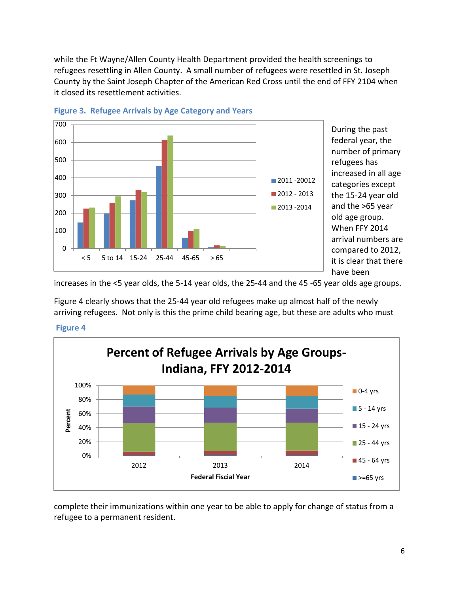while the Ft Wayne/Allen County Health Department provided the health screenings to refugees resettling in Allen County. A small number of refugees were resettled in St. Joseph County by the Saint Joseph Chapter of the American Red Cross until the end of FFY 2104 when it closed its resettlement activities.



**Figure 3. Refugee Arrivals by Age Category and Years**

During the past federal year, the number of primary refugees has increased in all age categories except the 15-24 year old and the >65 year old age group. When FFY 2014 arrival numbers are compared to 2012, it is clear that there have been

increases in the <5 year olds, the 5-14 year olds, the 25-44 and the 45 -65 year olds age groups.

Figure 4 clearly shows that the 25-44 year old refugees make up almost half of the newly arriving refugees. Not only is this the prime child bearing age, but these are adults who must

#### **Figure 4**



complete their immunizations within one year to be able to apply for change of status from a refugee to a permanent resident.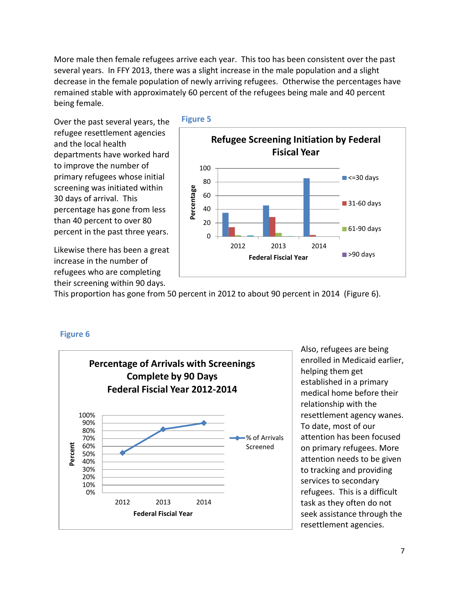More male then female refugees arrive each year. This too has been consistent over the past several years. In FFY 2013, there was a slight increase in the male population and a slight decrease in the female population of newly arriving refugees. Otherwise the percentages have remained stable with approximately 60 percent of the refugees being male and 40 percent being female.

Over the past several years, the refugee resettlement agencies and the local health departments have worked hard to improve the number of primary refugees whose initial screening was initiated within 30 days of arrival. This percentage has gone from less than 40 percent to over 80 percent in the past three years.

Likewise there has been a great increase in the number of refugees who are completing their screening within 90 days.



This proportion has gone from 50 percent in 2012 to about 90 percent in 2014 (Figure 6).



# Also, refugees are being enrolled in Medicaid earlier, helping them get established in a primary medical home before their relationship with the resettlement agency wanes. To date, most of our attention has been focused on primary refugees. More attention needs to be given to tracking and providing services to secondary refugees. This is a difficult task as they often do not seek assistance through the resettlement agencies.

## **Figure 6**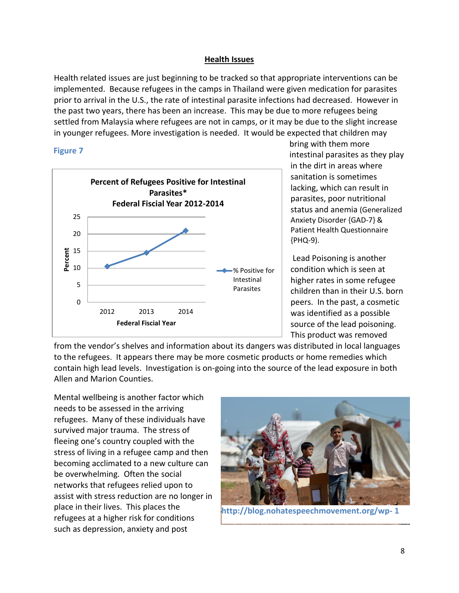# **Health Issues**

Health related issues are just beginning to be tracked so that appropriate interventions can be implemented. Because refugees in the camps in Thailand were given medication for parasites prior to arrival in the U.S., the rate of intestinal parasite infections had decreased. However in the past two years, there has been an increase. This may be due to more refugees being settled from Malaysia where refugees are not in camps, or it may be due to the slight increase in younger refugees. More investigation is needed. It would be expected that children may

## **Figure 7**



bring with them more intestinal parasites as they play in the dirt in areas where sanitation is sometimes lacking, which can result in parasites, poor nutritional status and anemia (Generalized Anxiety Disorder {GAD-7} & Patient Health Questionnaire {PHQ-9).

Lead Poisoning is another condition which is seen at higher rates in some refugee children than in their U.S. born peers. In the past, a cosmetic was identified as a possible source of the lead poisoning. This product was removed

from the vendor's shelves and information about its dangers was distributed in local languages to the refugees. It appears there may be more cosmetic products or home remedies which contain high lead levels. Investigation is on-going into the source of the lead exposure in both Allen and Marion Counties.

Mental wellbeing is another factor which needs to be assessed in the arriving refugees. Many of these individuals have survived major trauma. The stress of fleeing one's country coupled with the stress of living in a refugee camp and then becoming acclimated to a new culture can be overwhelming. Often the social networks that refugees relied upon to assist with stress reduction are no longer in place in their lives. This places the refugees at a higher risk for conditions such as depression, anxiety and post



**http://blog.nohatespeechmovement.org/wp- 1**